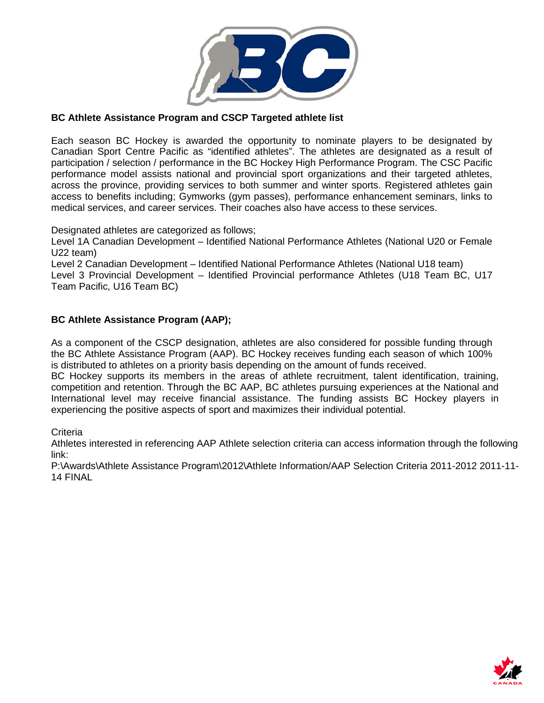

# **BC Athlete Assistance Program and CSCP Targeted athlete list**

Each season BC Hockey is awarded the opportunity to nominate players to be designated by Canadian Sport Centre Pacific as "identified athletes". The athletes are designated as a result of participation / selection / performance in the BC Hockey High Performance Program. The CSC Pacific performance model assists national and provincial sport organizations and their targeted athletes, across the province, providing services to both summer and winter sports. Registered athletes gain access to benefits including; Gymworks (gym passes), performance enhancement seminars, links to medical services, and career services. Their coaches also have access to these services.

Designated athletes are categorized as follows;

Level 1A Canadian Development – Identified National Performance Athletes (National U20 or Female U22 team)

Level 2 Canadian Development – Identified National Performance Athletes (National U18 team)

Level 3 Provincial Development – Identified Provincial performance Athletes (U18 Team BC, U17 Team Pacific, U16 Team BC)

### **BC Athlete Assistance Program (AAP);**

As a component of the CSCP designation, athletes are also considered for possible funding through the BC Athlete Assistance Program (AAP). BC Hockey receives funding each season of which 100% is distributed to athletes on a priority basis depending on the amount of funds received.

BC Hockey supports its members in the areas of athlete recruitment, talent identification, training, competition and retention. Through the BC AAP, BC athletes pursuing experiences at the National and International level may receive financial assistance. The funding assists BC Hockey players in experiencing the positive aspects of sport and maximizes their individual potential.

**Criteria** 

Athletes interested in referencing AAP Athlete selection criteria can access information through the following link:

P:\Awards\Athlete Assistance Program\2012\Athlete Information/AAP Selection Criteria 2011-2012 2011-11- 14 FINAL

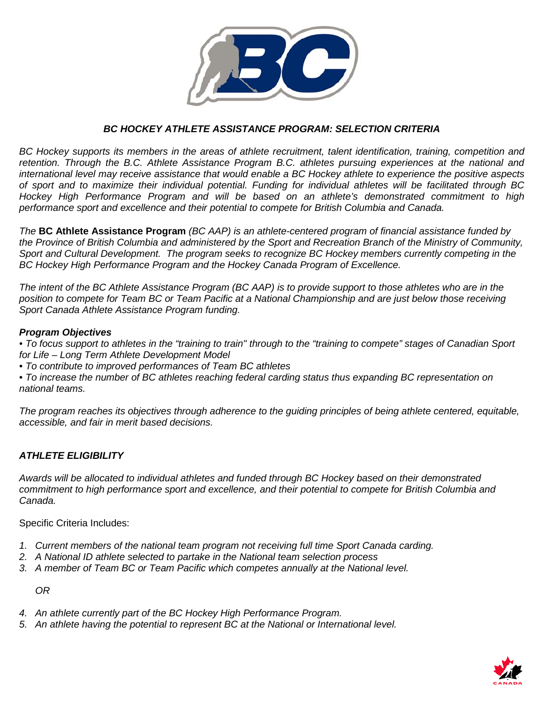

## *BC HOCKEY ATHLETE ASSISTANCE PROGRAM: SELECTION CRITERIA*

*BC Hockey supports its members in the areas of athlete recruitment, talent identification, training, competition and retention. Through the B.C. Athlete Assistance Program B.C. athletes pursuing experiences at the national and international level may receive assistance that would enable a BC Hockey athlete to experience the positive aspects of sport and to maximize their individual potential. Funding for individual athletes will be facilitated through BC Hockey High Performance Program and will be based on an athlete's demonstrated commitment to high performance sport and excellence and their potential to compete for British Columbia and Canada.*

*The* **BC Athlete Assistance Program** *(BC AAP) is an athlete-centered program of financial assistance funded by the Province of British Columbia and administered by the Sport and Recreation Branch of the Ministry of Community, Sport and Cultural Development. The program seeks to recognize BC Hockey members currently competing in the BC Hockey High Performance Program and the Hockey Canada Program of Excellence.* 

*The intent of the BC Athlete Assistance Program (BC AAP) is to provide support to those athletes who are in the position to compete for Team BC or Team Pacific at a National Championship and are just below those receiving Sport Canada Athlete Assistance Program funding.* 

#### *Program Objectives*

*• To focus support to athletes in the "training to train" through to the "training to compete" stages of Canadian Sport for Life – Long Term Athlete Development Model*

*• To contribute to improved performances of Team BC athletes* 

*• To increase the number of BC athletes reaching federal carding status thus expanding BC representation on national teams.* 

*The program reaches its objectives through adherence to the guiding principles of being athlete centered, equitable, accessible, and fair in merit based decisions.*

### *ATHLETE ELIGIBILITY*

*Awards will be allocated to individual athletes and funded through BC Hockey based on their demonstrated commitment to high performance sport and excellence, and their potential to compete for British Columbia and Canada.* 

Specific Criteria Includes:

- *1. Current members of the national team program not receiving full time Sport Canada carding.*
- *2. A National ID athlete selected to partake in the National team selection process*
- *3. A member of Team BC or Team Pacific which competes annually at the National level.*

*OR*

- *4. An athlete currently part of the BC Hockey High Performance Program.*
- *5. An athlete having the potential to represent BC at the National or International level.*

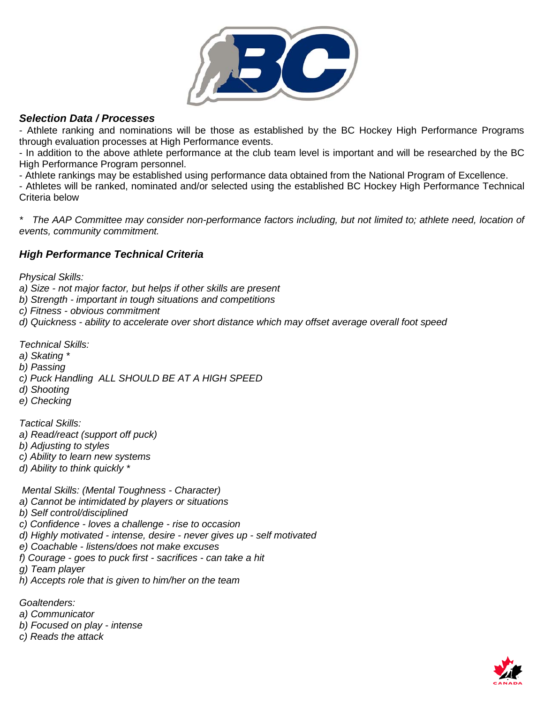

# *Selection Data / Processes*

- Athlete ranking and nominations will be those as established by the BC Hockey High Performance Programs through evaluation processes at High Performance events.

- In addition to the above athlete performance at the club team level is important and will be researched by the BC High Performance Program personnel.

- Athlete rankings may be established using performance data obtained from the National Program of Excellence.

- Athletes will be ranked, nominated and/or selected using the established BC Hockey High Performance Technical Criteria below

*\* The AAP Committee may consider non-performance factors including, but not limited to; athlete need, location of events, community commitment.* 

# *High Performance Technical Criteria*

*Physical Skills:*

- *a) Size - not major factor, but helps if other skills are present*
- *b) Strength - important in tough situations and competitions*
- *c) Fitness - obvious commitment*
- *d) Quickness - ability to accelerate over short distance which may offset average overall foot speed*

*Technical Skills:*

- *a) Skating \**
- *b) Passing*
- *c) Puck Handling ALL SHOULD BE AT A HIGH SPEED*
- *d) Shooting*
- *e) Checking*

*Tactical Skills:*

- *a) Read/react (support off puck)*
- *b) Adjusting to styles*
- *c) Ability to learn new systems*
- *d) Ability to think quickly \**

*Mental Skills: (Mental Toughness - Character)*

- *a) Cannot be intimidated by players or situations*
- *b) Self control/disciplined*
- *c) Confidence - loves a challenge - rise to occasion*
- *d) Highly motivated - intense, desire - never gives up - self motivated*
- *e) Coachable - listens/does not make excuses*
- *f) Courage - goes to puck first - sacrifices - can take a hit*
- *g) Team player*
- *h) Accepts role that is given to him/her on the team*

*Goaltenders:*

- *a) Communicator*
- *b) Focused on play - intense*
- *c) Reads the attack*

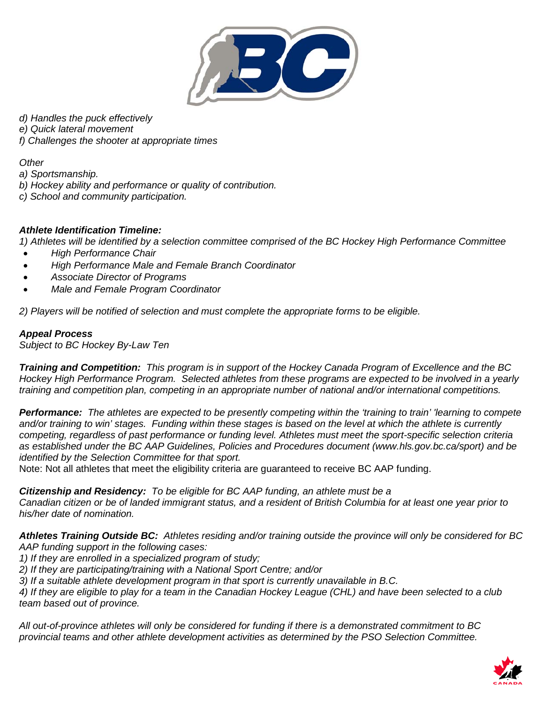

*d) Handles the puck effectively*

*e) Quick lateral movement*

*f) Challenges the shooter at appropriate times*

*Other*

*a) Sportsmanship.*

*b) Hockey ability and performance or quality of contribution.*

*c) School and community participation.*

### *Athlete Identification Timeline:*

*1) Athletes will be identified by a selection committee comprised of the BC Hockey High Performance Committee*

- *High Performance Chair*
- *High Performance Male and Female Branch Coordinator*
- *Associate Director of Programs*
- *Male and Female Program Coordinator*

*2) Players will be notified of selection and must complete the appropriate forms to be eligible.*

### *Appeal Process*

*Subject to BC Hockey By-Law Ten*

*Training and Competition: This program is in support of the Hockey Canada Program of Excellence and the BC Hockey High Performance Program. Selected athletes from these programs are expected to be involved in a yearly training and competition plan, competing in an appropriate number of national and/or international competitions.* 

*Performance: The athletes are expected to be presently competing within the 'training to train' 'learning to compete and/or training to win' stages. Funding within these stages is based on the level at which the athlete is currently competing, regardless of past performance or funding level. Athletes must meet the sport-specific selection criteria as established under the BC AAP Guidelines, Policies and Procedures document (www.hls.gov.bc.ca/sport) and be identified by the Selection Committee for that sport.* 

Note: Not all athletes that meet the eligibility criteria are guaranteed to receive BC AAP funding.

*Citizenship and Residency: To be eligible for BC AAP funding, an athlete must be a* 

*Canadian citizen or be of landed immigrant status, and a resident of British Columbia for at least one year prior to his/her date of nomination.*

*Athletes Training Outside BC: Athletes residing and/or training outside the province will only be considered for BC AAP funding support in the following cases:* 

*1) If they are enrolled in a specialized program of study;* 

*2) If they are participating/training with a National Sport Centre; and/or* 

*3) If a suitable athlete development program in that sport is currently unavailable in B.C.* 

*4) If they are eligible to play for a team in the Canadian Hockey League (CHL) and have been selected to a club team based out of province.* 

*All out-of-province athletes will only be considered for funding if there is a demonstrated commitment to BC provincial teams and other athlete development activities as determined by the PSO Selection Committee.*